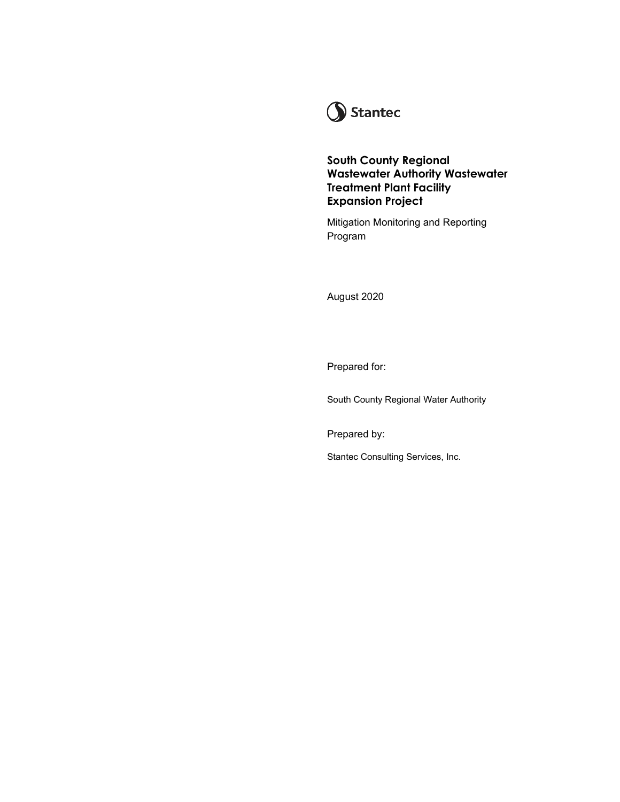

**South County Regional Wastewater Authority Wastewater Treatment Plant Facility Expansion Project** 

Mitigation Monitoring and Reporting Program

August 2020

Prepared for:

South County Regional Water Authority

Prepared by:

Stantec Consulting Services, Inc.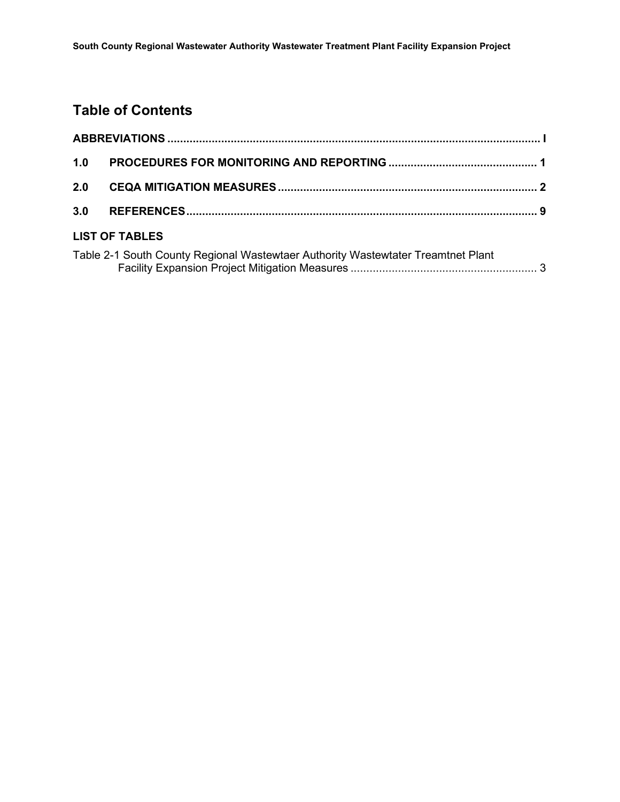### **Table of Contents**

| 1.0                   |                                                                                  |  |  |  |
|-----------------------|----------------------------------------------------------------------------------|--|--|--|
| 2.0                   |                                                                                  |  |  |  |
| 3.0                   |                                                                                  |  |  |  |
| <b>LIST OF TABLES</b> |                                                                                  |  |  |  |
|                       | Table 2-1 South County Regional Wastewtaer Authority Wastewtater Treamtnet Plant |  |  |  |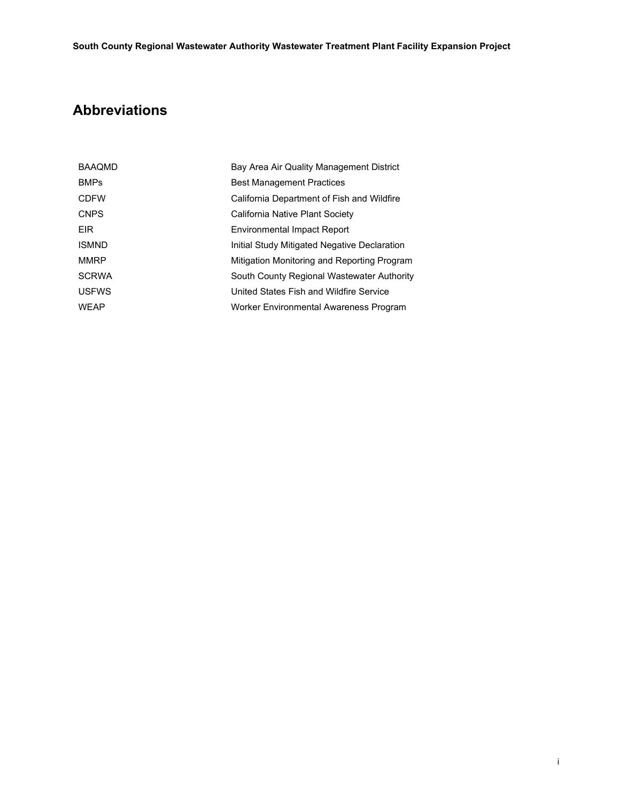## <span id="page-2-0"></span>**Abbreviations**

| <b>BAAQMD</b> | Bay Area Air Quality Management District     |
|---------------|----------------------------------------------|
| <b>BMPs</b>   | <b>Best Management Practices</b>             |
| <b>CDFW</b>   | California Department of Fish and Wildfire   |
| <b>CNPS</b>   | California Native Plant Society              |
| <b>EIR</b>    | <b>Environmental Impact Report</b>           |
| <b>ISMND</b>  | Initial Study Mitigated Negative Declaration |
| <b>MMRP</b>   | Mitigation Monitoring and Reporting Program  |
| <b>SCRWA</b>  | South County Regional Wastewater Authority   |
| <b>USFWS</b>  | United States Fish and Wildfire Service      |
| <b>WEAP</b>   | Worker Environmental Awareness Program       |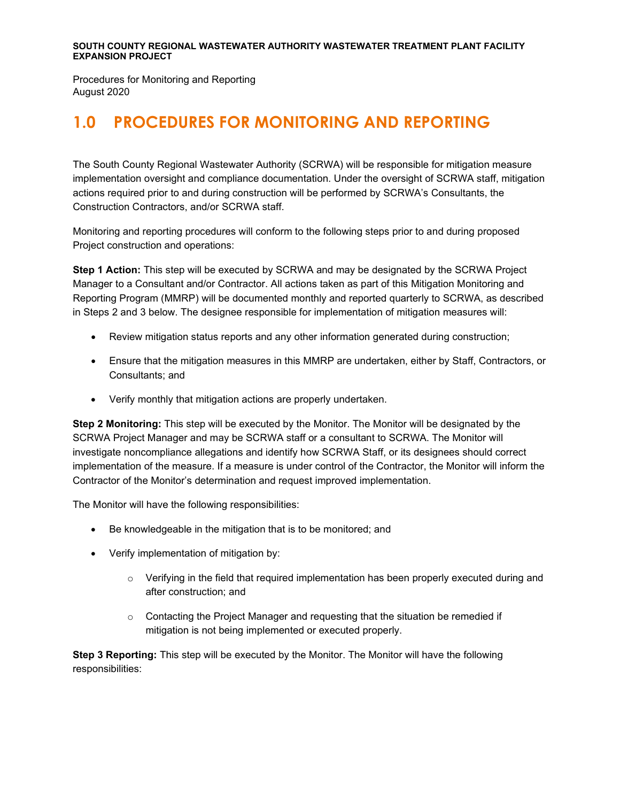Procedures for Monitoring and Reporting August 2020

# <span id="page-3-0"></span>**1.0 PROCEDURES FOR MONITORING AND REPORTING**

The South County Regional Wastewater Authority (SCRWA) will be responsible for mitigation measure implementation oversight and compliance documentation. Under the oversight of SCRWA staff, mitigation actions required prior to and during construction will be performed by SCRWA's Consultants, the Construction Contractors, and/or SCRWA staff.

Monitoring and reporting procedures will conform to the following steps prior to and during proposed Project construction and operations:

**Step 1 Action:** This step will be executed by SCRWA and may be designated by the SCRWA Project Manager to a Consultant and/or Contractor. All actions taken as part of this Mitigation Monitoring and Reporting Program (MMRP) will be documented monthly and reported quarterly to SCRWA, as described in Steps 2 and 3 below. The designee responsible for implementation of mitigation measures will:

- Review mitigation status reports and any other information generated during construction;
- Ensure that the mitigation measures in this MMRP are undertaken, either by Staff, Contractors, or Consultants; and
- Verify monthly that mitigation actions are properly undertaken.

**Step 2 Monitoring:** This step will be executed by the Monitor. The Monitor will be designated by the SCRWA Project Manager and may be SCRWA staff or a consultant to SCRWA. The Monitor will investigate noncompliance allegations and identify how SCRWA Staff, or its designees should correct implementation of the measure. If a measure is under control of the Contractor, the Monitor will inform the Contractor of the Monitor's determination and request improved implementation.

The Monitor will have the following responsibilities:

- Be knowledgeable in the mitigation that is to be monitored; and
- Verify implementation of mitigation by:
	- $\circ$  Verifying in the field that required implementation has been properly executed during and after construction; and
	- $\circ$  Contacting the Project Manager and requesting that the situation be remedied if mitigation is not being implemented or executed properly.

**Step 3 Reporting:** This step will be executed by the Monitor. The Monitor will have the following responsibilities: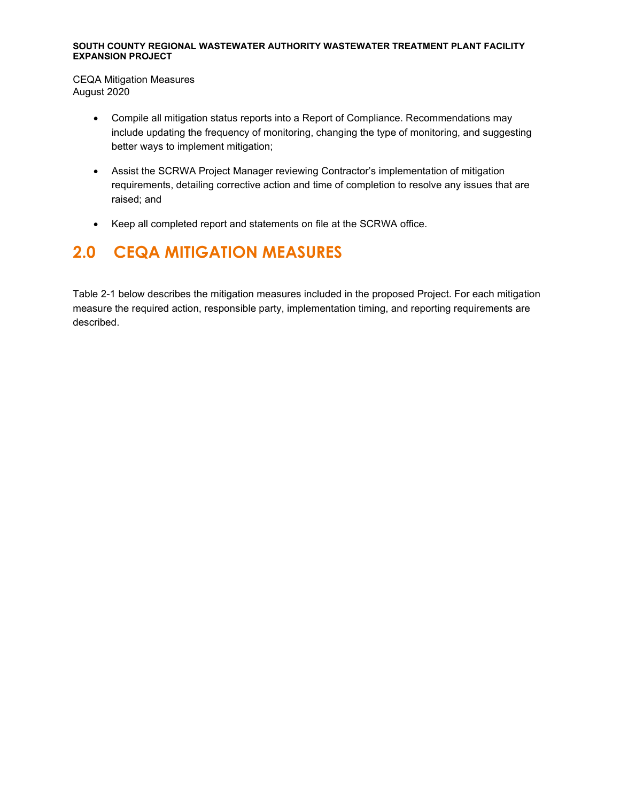CEQA Mitigation Measures August 2020

- Compile all mitigation status reports into a Report of Compliance. Recommendations may include updating the frequency of monitoring, changing the type of monitoring, and suggesting better ways to implement mitigation;
- Assist the SCRWA Project Manager reviewing Contractor's implementation of mitigation requirements, detailing corrective action and time of completion to resolve any issues that are raised; and
- Keep all completed report and statements on file at the SCRWA office.

## <span id="page-4-0"></span>**2.0 CEQA MITIGATION MEASURES**

Table 2-1 below describes the mitigation measures included in the proposed Project. For each mitigation measure the required action, responsible party, implementation timing, and reporting requirements are described.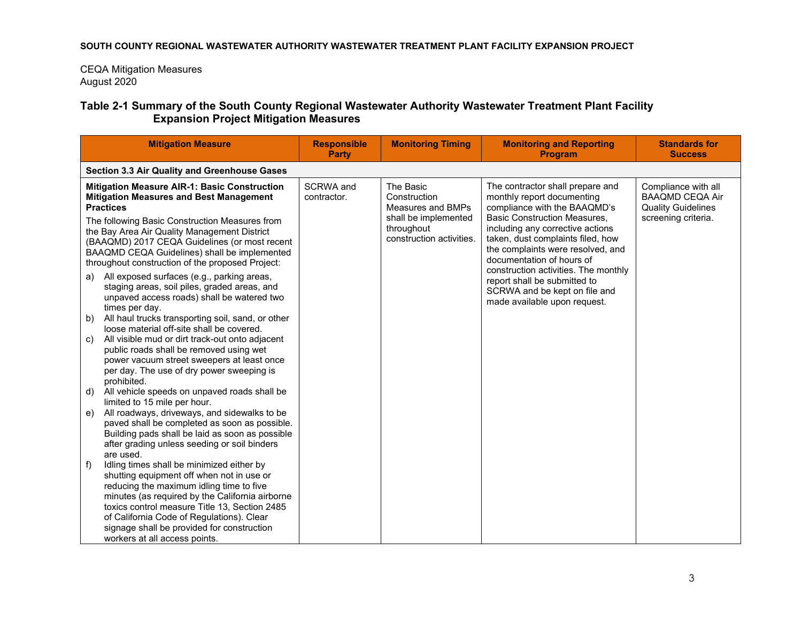CEQA Mitigation Measures August 2020

### **Table 2-1 Summary of the South County Regional Wastewater Authority Wastewater Treatment Plant Facility Expansion Project Mitigation Measures**

| <b>Mitigation Measure</b>                                                                                                                                                                                                                                                                                                                                                                                                            | <b>Responsible</b><br><b>Party</b> | <b>Monitoring Timing</b>                                                                                         | <b>Monitoring and Reporting</b><br><b>Program</b>                                                                                                                                                                                                                                                                                                        | <b>Standards for</b><br><b>Success</b>                                                            |  |
|--------------------------------------------------------------------------------------------------------------------------------------------------------------------------------------------------------------------------------------------------------------------------------------------------------------------------------------------------------------------------------------------------------------------------------------|------------------------------------|------------------------------------------------------------------------------------------------------------------|----------------------------------------------------------------------------------------------------------------------------------------------------------------------------------------------------------------------------------------------------------------------------------------------------------------------------------------------------------|---------------------------------------------------------------------------------------------------|--|
| Section 3.3 Air Quality and Greenhouse Gases                                                                                                                                                                                                                                                                                                                                                                                         |                                    |                                                                                                                  |                                                                                                                                                                                                                                                                                                                                                          |                                                                                                   |  |
| <b>Mitigation Measure AIR-1: Basic Construction</b><br><b>Mitigation Measures and Best Management</b><br><b>Practices</b><br>The following Basic Construction Measures from<br>the Bay Area Air Quality Management District<br>(BAAQMD) 2017 CEQA Guidelines (or most recent<br>BAAQMD CEQA Guidelines) shall be implemented<br>throughout construction of the proposed Project:<br>All exposed surfaces (e.g., parking areas,<br>a) | SCRWA and<br>contractor.           | The Basic<br>Construction<br>Measures and BMPs<br>shall be implemented<br>throughout<br>construction activities. | The contractor shall prepare and<br>monthly report documenting<br>compliance with the BAAQMD's<br><b>Basic Construction Measures,</b><br>including any corrective actions<br>taken, dust complaints filed, how<br>the complaints were resolved, and<br>documentation of hours of<br>construction activities. The monthly<br>report shall be submitted to | Compliance with all<br><b>BAAQMD CEQA Air</b><br><b>Quality Guidelines</b><br>screening criteria. |  |
| staging areas, soil piles, graded areas, and<br>unpaved access roads) shall be watered two<br>times per day.<br>All haul trucks transporting soil, sand, or other<br>b)<br>loose material off-site shall be covered.<br>All visible mud or dirt track-out onto adjacent<br>C)<br>public roads shall be removed using wet<br>power vacuum street sweepers at least once<br>per day. The use of dry power sweeping is<br>prohibited.   |                                    |                                                                                                                  | SCRWA and be kept on file and<br>made available upon request.                                                                                                                                                                                                                                                                                            |                                                                                                   |  |
| All vehicle speeds on unpaved roads shall be<br>d)<br>limited to 15 mile per hour.<br>All roadways, driveways, and sidewalks to be<br>e)<br>paved shall be completed as soon as possible.<br>Building pads shall be laid as soon as possible<br>after grading unless seeding or soil binders                                                                                                                                         |                                    |                                                                                                                  |                                                                                                                                                                                                                                                                                                                                                          |                                                                                                   |  |
| are used.<br>Idling times shall be minimized either by<br>f)<br>shutting equipment off when not in use or<br>reducing the maximum idling time to five<br>minutes (as required by the California airborne<br>toxics control measure Title 13, Section 2485<br>of California Code of Regulations). Clear<br>signage shall be provided for construction<br>workers at all access points.                                                |                                    |                                                                                                                  |                                                                                                                                                                                                                                                                                                                                                          |                                                                                                   |  |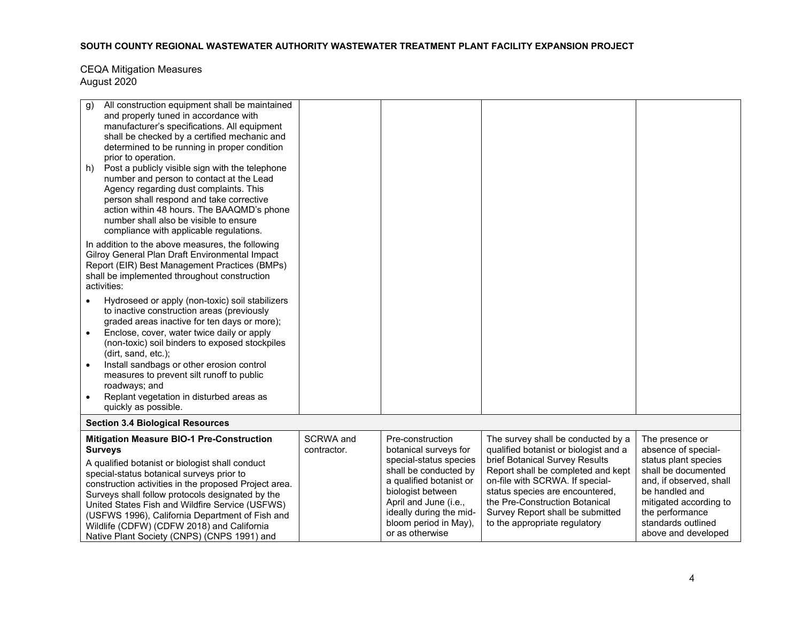| All construction equipment shall be maintained<br>g)<br>and properly tuned in accordance with<br>manufacturer's specifications. All equipment<br>shall be checked by a certified mechanic and                                                                                                                                                                                                                                                                                      |                          |                                                                                                                                                                                                                                              |                                                                                                                                                                                                                                                                                                                                  |                                                                                                                                                                                                                              |  |
|------------------------------------------------------------------------------------------------------------------------------------------------------------------------------------------------------------------------------------------------------------------------------------------------------------------------------------------------------------------------------------------------------------------------------------------------------------------------------------|--------------------------|----------------------------------------------------------------------------------------------------------------------------------------------------------------------------------------------------------------------------------------------|----------------------------------------------------------------------------------------------------------------------------------------------------------------------------------------------------------------------------------------------------------------------------------------------------------------------------------|------------------------------------------------------------------------------------------------------------------------------------------------------------------------------------------------------------------------------|--|
| determined to be running in proper condition<br>prior to operation.<br>Post a publicly visible sign with the telephone<br>h)<br>number and person to contact at the Lead<br>Agency regarding dust complaints. This<br>person shall respond and take corrective<br>action within 48 hours. The BAAQMD's phone<br>number shall also be visible to ensure<br>compliance with applicable regulations.                                                                                  |                          |                                                                                                                                                                                                                                              |                                                                                                                                                                                                                                                                                                                                  |                                                                                                                                                                                                                              |  |
| In addition to the above measures, the following<br>Gilroy General Plan Draft Environmental Impact<br>Report (EIR) Best Management Practices (BMPs)<br>shall be implemented throughout construction<br>activities:                                                                                                                                                                                                                                                                 |                          |                                                                                                                                                                                                                                              |                                                                                                                                                                                                                                                                                                                                  |                                                                                                                                                                                                                              |  |
| Hydroseed or apply (non-toxic) soil stabilizers<br>to inactive construction areas (previously<br>graded areas inactive for ten days or more);<br>Enclose, cover, water twice daily or apply<br>$\bullet$<br>(non-toxic) soil binders to exposed stockpiles                                                                                                                                                                                                                         |                          |                                                                                                                                                                                                                                              |                                                                                                                                                                                                                                                                                                                                  |                                                                                                                                                                                                                              |  |
| (dirt, sand, etc.);<br>Install sandbags or other erosion control<br>measures to prevent silt runoff to public<br>roadways; and<br>Replant vegetation in disturbed areas as<br>$\bullet$<br>quickly as possible.                                                                                                                                                                                                                                                                    |                          |                                                                                                                                                                                                                                              |                                                                                                                                                                                                                                                                                                                                  |                                                                                                                                                                                                                              |  |
| <b>Section 3.4 Biological Resources</b>                                                                                                                                                                                                                                                                                                                                                                                                                                            |                          |                                                                                                                                                                                                                                              |                                                                                                                                                                                                                                                                                                                                  |                                                                                                                                                                                                                              |  |
| <b>Mitigation Measure BIO-1 Pre-Construction</b><br><b>Surveys</b><br>A qualified botanist or biologist shall conduct<br>special-status botanical surveys prior to<br>construction activities in the proposed Project area.<br>Surveys shall follow protocols designated by the<br>United States Fish and Wildfire Service (USFWS)<br>(USFWS 1996), California Department of Fish and<br>Wildlife (CDFW) (CDFW 2018) and California<br>Native Plant Society (CNPS) (CNPS 1991) and | SCRWA and<br>contractor. | Pre-construction<br>botanical surveys for<br>special-status species<br>shall be conducted by<br>a qualified botanist or<br>biologist between<br>April and June (i.e.,<br>ideally during the mid-<br>bloom period in May),<br>or as otherwise | The survey shall be conducted by a<br>qualified botanist or biologist and a<br>brief Botanical Survey Results<br>Report shall be completed and kept<br>on-file with SCRWA. If special-<br>status species are encountered,<br>the Pre-Construction Botanical<br>Survey Report shall be submitted<br>to the appropriate regulatory | The presence or<br>absence of special-<br>status plant species<br>shall be documented<br>and, if observed, shall<br>be handled and<br>mitigated according to<br>the performance<br>standards outlined<br>above and developed |  |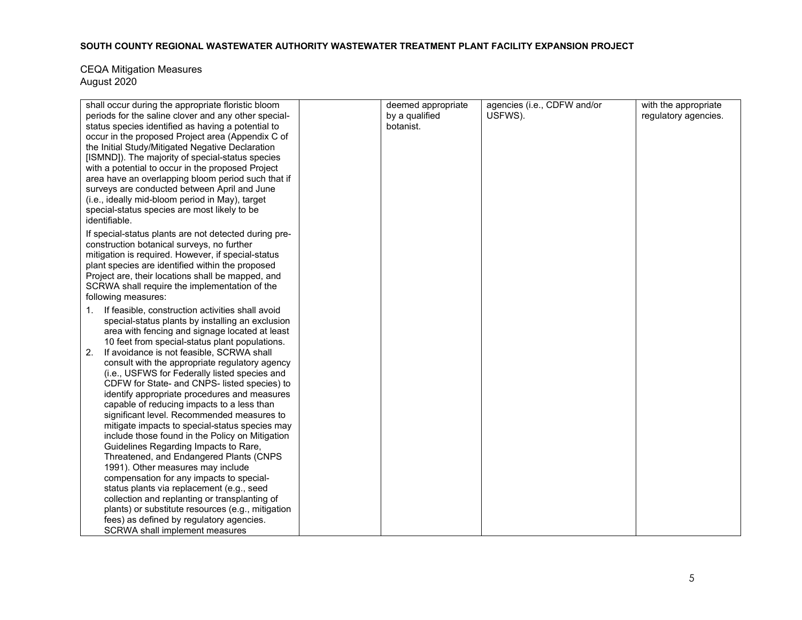| shall occur during the appropriate floristic bloom<br>periods for the saline clover and any other special-<br>status species identified as having a potential to<br>occur in the proposed Project area (Appendix C of<br>the Initial Study/Mitigated Negative Declaration<br>[ISMND]). The majority of special-status species<br>with a potential to occur in the proposed Project<br>area have an overlapping bloom period such that if<br>surveys are conducted between April and June                           | deemed appropriate<br>by a qualified<br>botanist. | agencies (i.e., CDFW and/or<br>USFWS). | with the appropriate<br>regulatory agencies. |
|--------------------------------------------------------------------------------------------------------------------------------------------------------------------------------------------------------------------------------------------------------------------------------------------------------------------------------------------------------------------------------------------------------------------------------------------------------------------------------------------------------------------|---------------------------------------------------|----------------------------------------|----------------------------------------------|
| (i.e., ideally mid-bloom period in May), target<br>special-status species are most likely to be<br>identifiable.                                                                                                                                                                                                                                                                                                                                                                                                   |                                                   |                                        |                                              |
| If special-status plants are not detected during pre-<br>construction botanical surveys, no further<br>mitigation is required. However, if special-status<br>plant species are identified within the proposed<br>Project are, their locations shall be mapped, and<br>SCRWA shall require the implementation of the<br>following measures:                                                                                                                                                                         |                                                   |                                        |                                              |
| If feasible, construction activities shall avoid<br>1.<br>special-status plants by installing an exclusion<br>area with fencing and signage located at least<br>10 feet from special-status plant populations.<br>If avoidance is not feasible, SCRWA shall<br>2.<br>consult with the appropriate regulatory agency<br>(i.e., USFWS for Federally listed species and<br>CDFW for State- and CNPS- listed species) to<br>identify appropriate procedures and measures<br>capable of reducing impacts to a less than |                                                   |                                        |                                              |
| significant level. Recommended measures to<br>mitigate impacts to special-status species may<br>include those found in the Policy on Mitigation<br>Guidelines Regarding Impacts to Rare,<br>Threatened, and Endangered Plants (CNPS<br>1991). Other measures may include                                                                                                                                                                                                                                           |                                                   |                                        |                                              |
| compensation for any impacts to special-<br>status plants via replacement (e.g., seed<br>collection and replanting or transplanting of<br>plants) or substitute resources (e.g., mitigation<br>fees) as defined by regulatory agencies.<br>SCRWA shall implement measures                                                                                                                                                                                                                                          |                                                   |                                        |                                              |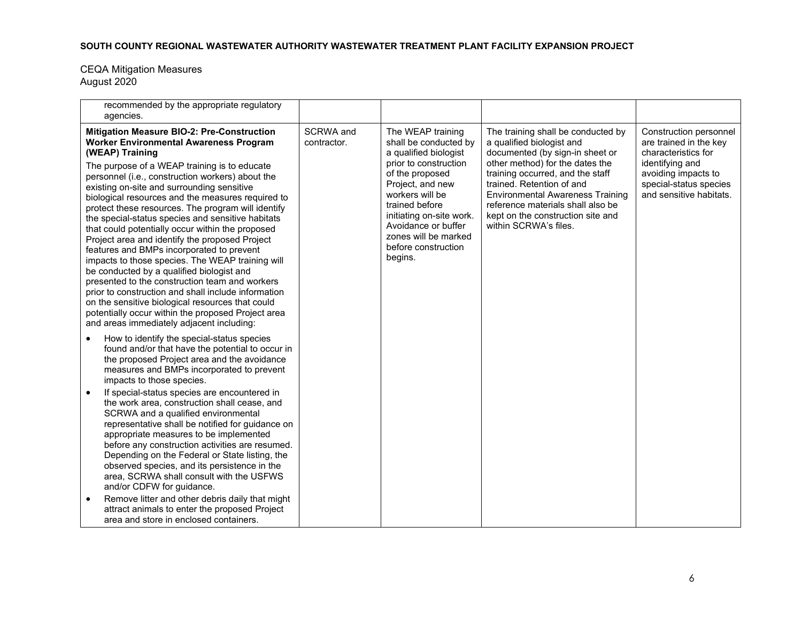| recommended by the appropriate regulatory<br>agencies.                                                                                                                                                                                                                                                                                                                                                                                                                                                                                                                                                                                                                                                                                                                                                                                                                                                                                               |                          |                                                                                                                                                                                                                                                                                       |                                                                                                                                                                                                                                                                                                                                                      |                                                                                                                                                                        |
|------------------------------------------------------------------------------------------------------------------------------------------------------------------------------------------------------------------------------------------------------------------------------------------------------------------------------------------------------------------------------------------------------------------------------------------------------------------------------------------------------------------------------------------------------------------------------------------------------------------------------------------------------------------------------------------------------------------------------------------------------------------------------------------------------------------------------------------------------------------------------------------------------------------------------------------------------|--------------------------|---------------------------------------------------------------------------------------------------------------------------------------------------------------------------------------------------------------------------------------------------------------------------------------|------------------------------------------------------------------------------------------------------------------------------------------------------------------------------------------------------------------------------------------------------------------------------------------------------------------------------------------------------|------------------------------------------------------------------------------------------------------------------------------------------------------------------------|
| Mitigation Measure BIO-2: Pre-Construction<br><b>Worker Environmental Awareness Program</b><br>(WEAP) Training<br>The purpose of a WEAP training is to educate<br>personnel (i.e., construction workers) about the<br>existing on-site and surrounding sensitive<br>biological resources and the measures required to<br>protect these resources. The program will identify<br>the special-status species and sensitive habitats<br>that could potentially occur within the proposed<br>Project area and identify the proposed Project<br>features and BMPs incorporated to prevent<br>impacts to those species. The WEAP training will<br>be conducted by a qualified biologist and<br>presented to the construction team and workers<br>prior to construction and shall include information<br>on the sensitive biological resources that could<br>potentially occur within the proposed Project area<br>and areas immediately adjacent including: | SCRWA and<br>contractor. | The WEAP training<br>shall be conducted by<br>a qualified biologist<br>prior to construction<br>of the proposed<br>Project, and new<br>workers will be<br>trained before<br>initiating on-site work.<br>Avoidance or buffer<br>zones will be marked<br>before construction<br>begins. | The training shall be conducted by<br>a qualified biologist and<br>documented (by sign-in sheet or<br>other method) for the dates the<br>training occurred, and the staff<br>trained. Retention of and<br><b>Environmental Awareness Training</b><br>reference materials shall also be<br>kept on the construction site and<br>within SCRWA's files. | Construction personnel<br>are trained in the key<br>characteristics for<br>identifying and<br>avoiding impacts to<br>special-status species<br>and sensitive habitats. |
| How to identify the special-status species<br>found and/or that have the potential to occur in<br>the proposed Project area and the avoidance<br>measures and BMPs incorporated to prevent<br>impacts to those species.<br>If special-status species are encountered in<br>$\bullet$<br>the work area, construction shall cease, and<br>SCRWA and a qualified environmental<br>representative shall be notified for guidance on<br>appropriate measures to be implemented<br>before any construction activities are resumed.<br>Depending on the Federal or State listing, the<br>observed species, and its persistence in the<br>area, SCRWA shall consult with the USFWS<br>and/or CDFW for guidance.<br>Remove litter and other debris daily that might<br>attract animals to enter the proposed Project<br>area and store in enclosed containers.                                                                                                |                          |                                                                                                                                                                                                                                                                                       |                                                                                                                                                                                                                                                                                                                                                      |                                                                                                                                                                        |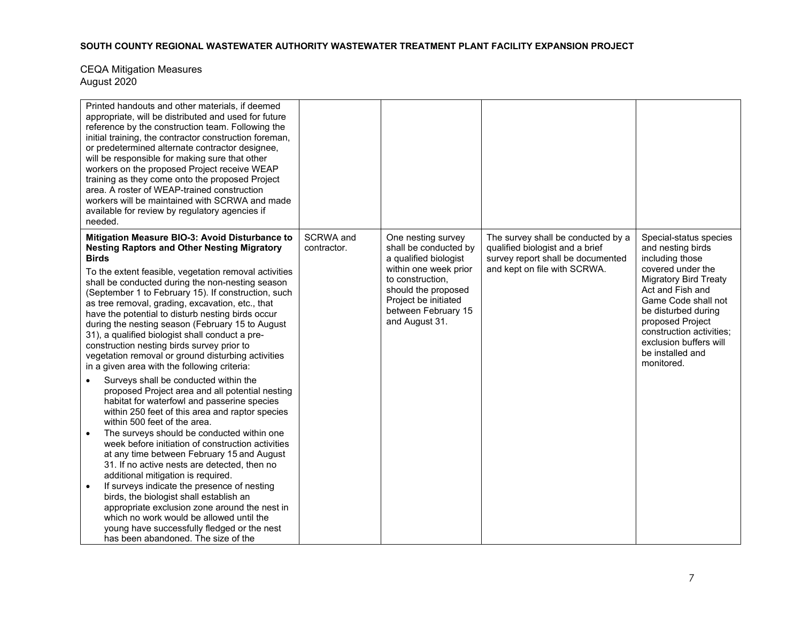| Printed handouts and other materials, if deemed<br>appropriate, will be distributed and used for future<br>reference by the construction team. Following the<br>initial training, the contractor construction foreman,<br>or predetermined alternate contractor designee,<br>will be responsible for making sure that other<br>workers on the proposed Project receive WEAP<br>training as they come onto the proposed Project<br>area. A roster of WEAP-trained construction<br>workers will be maintained with SCRWA and made<br>available for review by regulatory agencies if<br>needed.                                                                                                                                                                             |                          |                                                                                                                                                                                                           |                                                                                                                                            |                                                                                                                                                                                                                                                                                                   |
|--------------------------------------------------------------------------------------------------------------------------------------------------------------------------------------------------------------------------------------------------------------------------------------------------------------------------------------------------------------------------------------------------------------------------------------------------------------------------------------------------------------------------------------------------------------------------------------------------------------------------------------------------------------------------------------------------------------------------------------------------------------------------|--------------------------|-----------------------------------------------------------------------------------------------------------------------------------------------------------------------------------------------------------|--------------------------------------------------------------------------------------------------------------------------------------------|---------------------------------------------------------------------------------------------------------------------------------------------------------------------------------------------------------------------------------------------------------------------------------------------------|
| Mitigation Measure BIO-3: Avoid Disturbance to<br><b>Nesting Raptors and Other Nesting Migratory</b><br><b>Birds</b><br>To the extent feasible, vegetation removal activities<br>shall be conducted during the non-nesting season<br>(September 1 to February 15). If construction, such<br>as tree removal, grading, excavation, etc., that<br>have the potential to disturb nesting birds occur<br>during the nesting season (February 15 to August<br>31), a qualified biologist shall conduct a pre-<br>construction nesting birds survey prior to<br>vegetation removal or ground disturbing activities<br>in a given area with the following criteria:                                                                                                             | SCRWA and<br>contractor. | One nesting survey<br>shall be conducted by<br>a qualified biologist<br>within one week prior<br>to construction.<br>should the proposed<br>Project be initiated<br>between February 15<br>and August 31. | The survey shall be conducted by a<br>qualified biologist and a brief<br>survey report shall be documented<br>and kept on file with SCRWA. | Special-status species<br>and nesting birds<br>including those<br>covered under the<br><b>Migratory Bird Treaty</b><br>Act and Fish and<br>Game Code shall not<br>be disturbed during<br>proposed Project<br>construction activities:<br>exclusion buffers will<br>be installed and<br>monitored. |
| Surveys shall be conducted within the<br>$\bullet$<br>proposed Project area and all potential nesting<br>habitat for waterfowl and passerine species<br>within 250 feet of this area and raptor species<br>within 500 feet of the area.<br>The surveys should be conducted within one<br>week before initiation of construction activities<br>at any time between February 15 and August<br>31. If no active nests are detected, then no<br>additional mitigation is required.<br>If surveys indicate the presence of nesting<br>$\bullet$<br>birds, the biologist shall establish an<br>appropriate exclusion zone around the nest in<br>which no work would be allowed until the<br>young have successfully fledged or the nest<br>has been abandoned. The size of the |                          |                                                                                                                                                                                                           |                                                                                                                                            |                                                                                                                                                                                                                                                                                                   |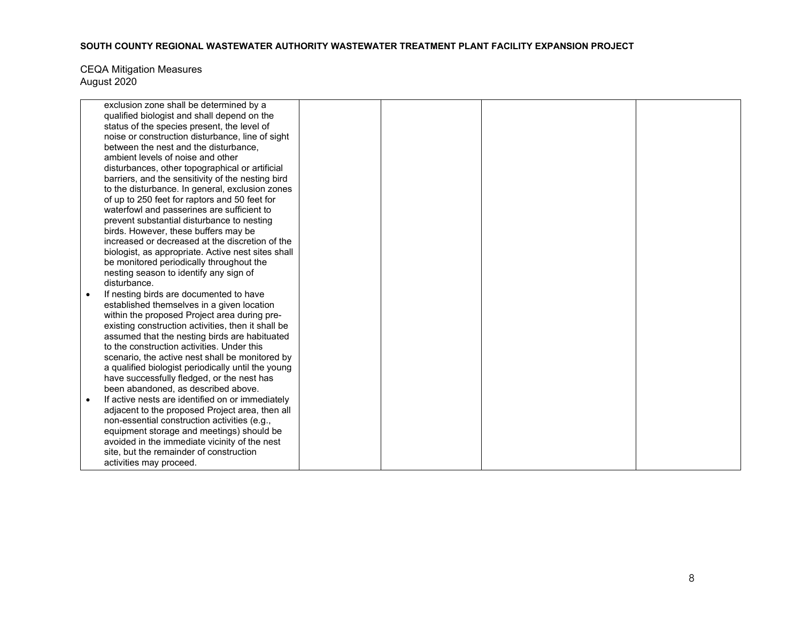| exclusion zone shall be determined by a            |  |  |
|----------------------------------------------------|--|--|
| qualified biologist and shall depend on the        |  |  |
| status of the species present, the level of        |  |  |
| noise or construction disturbance, line of sight   |  |  |
| between the nest and the disturbance.              |  |  |
| ambient levels of noise and other                  |  |  |
| disturbances, other topographical or artificial    |  |  |
| barriers, and the sensitivity of the nesting bird  |  |  |
| to the disturbance. In general, exclusion zones    |  |  |
| of up to 250 feet for raptors and 50 feet for      |  |  |
| waterfowl and passerines are sufficient to         |  |  |
| prevent substantial disturbance to nesting         |  |  |
| birds. However, these buffers may be               |  |  |
| increased or decreased at the discretion of the    |  |  |
| biologist, as appropriate. Active nest sites shall |  |  |
| be monitored periodically throughout the           |  |  |
| nesting season to identify any sign of             |  |  |
| disturbance.                                       |  |  |
| If nesting birds are documented to have            |  |  |
| established themselves in a given location         |  |  |
| within the proposed Project area during pre-       |  |  |
| existing construction activities, then it shall be |  |  |
| assumed that the nesting birds are habituated      |  |  |
| to the construction activities. Under this         |  |  |
| scenario, the active nest shall be monitored by    |  |  |
| a qualified biologist periodically until the young |  |  |
| have successfully fledged, or the nest has         |  |  |
| been abandoned, as described above.                |  |  |
| If active nests are identified on or immediately   |  |  |
| adjacent to the proposed Project area, then all    |  |  |
| non-essential construction activities (e.g.,       |  |  |
| equipment storage and meetings) should be          |  |  |
| avoided in the immediate vicinity of the nest      |  |  |
| site, but the remainder of construction            |  |  |
| activities may proceed.                            |  |  |